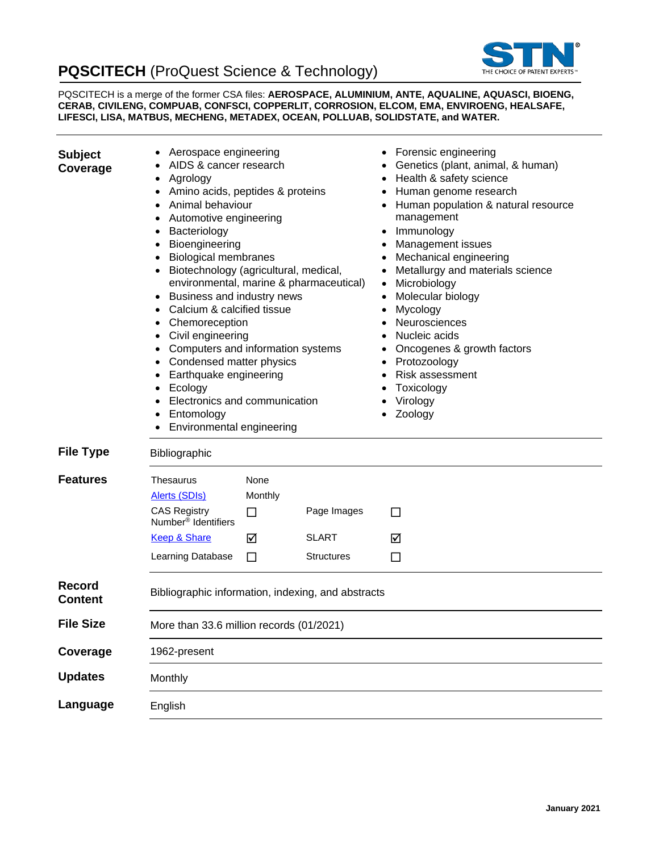# **PQSCITECH** (ProQuest Science & Technology)



PQSCITECH is a merge of the former CSA files: **AEROSPACE, ALUMINIUM, ANTE, AQUALINE, AQUASCI, BIOENG, CERAB, CIVILENG, COMPUAB, CONFSCI, COPPERLIT, CORROSION, ELCOM, EMA, ENVIROENG, HEALSAFE, LIFESCI, LISA, MATBUS, MECHENG, METADEX, OCEAN, POLLUAB, SOLIDSTATE, and WATER.**

| <b>Subject</b><br>Coverage      | Aerospace engineering<br>AIDS & cancer research<br>Agrology<br>Amino acids, peptides & proteins<br>Animal behaviour<br>Automotive engineering<br>Bacteriology<br>٠<br>Bioengineering<br>٠<br><b>Biological membranes</b><br>٠<br>Biotechnology (agricultural, medical,<br>٠<br>Business and industry news<br>٠<br>Calcium & calcified tissue<br>$\bullet$<br>Chemoreception<br>$\bullet$<br>Civil engineering<br>٠ |                                | environmental, marine & pharmaceutical)          | Forensic engineering<br>Genetics (plant, animal, & human)<br>Health & safety science<br>Human genome research<br>Human population & natural resource<br>management<br>Immunology<br>٠<br>Management issues<br>Mechanical engineering<br>Metallurgy and materials science<br>Microbiology<br>Molecular biology<br>Mycology<br>Neurosciences<br>Nucleic acids |
|---------------------------------|--------------------------------------------------------------------------------------------------------------------------------------------------------------------------------------------------------------------------------------------------------------------------------------------------------------------------------------------------------------------------------------------------------------------|--------------------------------|--------------------------------------------------|-------------------------------------------------------------------------------------------------------------------------------------------------------------------------------------------------------------------------------------------------------------------------------------------------------------------------------------------------------------|
|                                 | Computers and information systems<br>$\bullet$<br>Condensed matter physics<br>$\bullet$<br>Earthquake engineering<br>$\bullet$<br>Ecology<br>$\bullet$<br>Electronics and communication<br>$\bullet$<br>Entomology<br>Environmental engineering                                                                                                                                                                    |                                |                                                  | Oncogenes & growth factors<br>Protozoology<br>$\bullet$<br><b>Risk assessment</b><br>Toxicology<br>Virology<br>Zoology                                                                                                                                                                                                                                      |
| <b>File Type</b>                | Bibliographic                                                                                                                                                                                                                                                                                                                                                                                                      |                                |                                                  |                                                                                                                                                                                                                                                                                                                                                             |
| <b>Features</b>                 | <b>Thesaurus</b><br><b>Alerts (SDIs)</b><br><b>CAS Registry</b><br>Number <sup>®</sup> Identifiers<br><b>Keep &amp; Share</b><br>Learning Database                                                                                                                                                                                                                                                                 | None<br>Monthly<br>□<br>☑<br>□ | Page Images<br><b>SLART</b><br><b>Structures</b> | П<br>☑<br>□                                                                                                                                                                                                                                                                                                                                                 |
| <b>Record</b><br><b>Content</b> | Bibliographic information, indexing, and abstracts                                                                                                                                                                                                                                                                                                                                                                 |                                |                                                  |                                                                                                                                                                                                                                                                                                                                                             |
| <b>File Size</b>                | More than 33.6 million records (01/2021)                                                                                                                                                                                                                                                                                                                                                                           |                                |                                                  |                                                                                                                                                                                                                                                                                                                                                             |
| Coverage                        | 1962-present                                                                                                                                                                                                                                                                                                                                                                                                       |                                |                                                  |                                                                                                                                                                                                                                                                                                                                                             |
| <b>Updates</b>                  | Monthly                                                                                                                                                                                                                                                                                                                                                                                                            |                                |                                                  |                                                                                                                                                                                                                                                                                                                                                             |
| Language                        | English                                                                                                                                                                                                                                                                                                                                                                                                            |                                |                                                  |                                                                                                                                                                                                                                                                                                                                                             |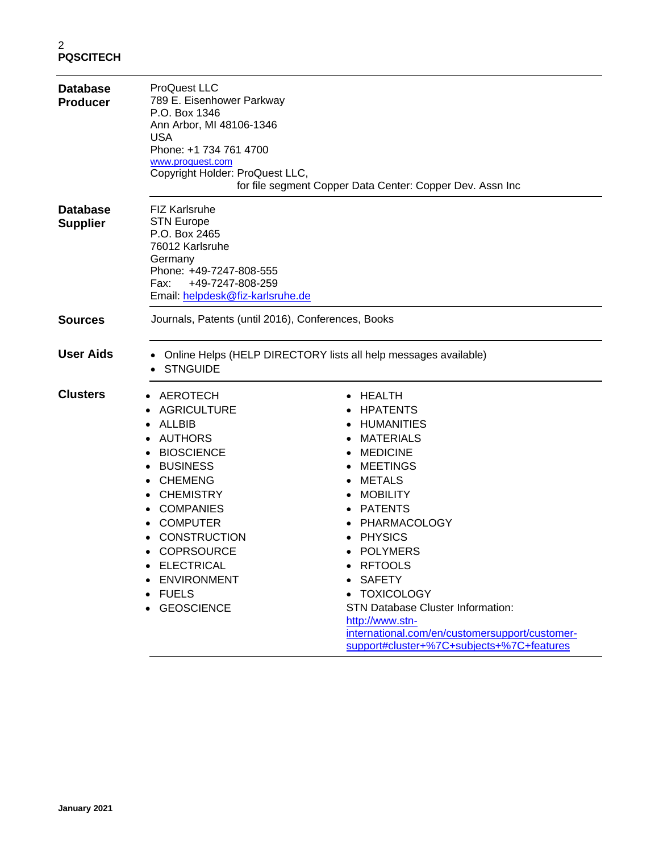| <b>Database</b><br><b>Producer</b> | <b>ProQuest LLC</b><br>789 E. Eisenhower Parkway<br>P.O. Box 1346<br>Ann Arbor, MI 48106-1346<br><b>USA</b><br>Phone: +1 734 761 4700<br>www.proquest.com<br>Copyright Holder: ProQuest LLC,                                                                                                                | for file segment Copper Data Center: Copper Dev. Assn Inc                                                                                                                                                                                                                                                                                                                                                                                 |
|------------------------------------|-------------------------------------------------------------------------------------------------------------------------------------------------------------------------------------------------------------------------------------------------------------------------------------------------------------|-------------------------------------------------------------------------------------------------------------------------------------------------------------------------------------------------------------------------------------------------------------------------------------------------------------------------------------------------------------------------------------------------------------------------------------------|
| <b>Database</b><br><b>Supplier</b> | <b>FIZ Karlsruhe</b><br><b>STN Europe</b><br>P.O. Box 2465<br>76012 Karlsruhe<br>Germany<br>Phone: +49-7247-808-555<br>+49-7247-808-259<br>Fax:<br>Email: helpdesk@fiz-karlsruhe.de                                                                                                                         |                                                                                                                                                                                                                                                                                                                                                                                                                                           |
| <b>Sources</b>                     | Journals, Patents (until 2016), Conferences, Books                                                                                                                                                                                                                                                          |                                                                                                                                                                                                                                                                                                                                                                                                                                           |
| <b>User Aids</b>                   | <b>STNGUIDE</b>                                                                                                                                                                                                                                                                                             | Online Helps (HELP DIRECTORY lists all help messages available)                                                                                                                                                                                                                                                                                                                                                                           |
| <b>Clusters</b>                    | AEROTECH<br><b>AGRICULTURE</b><br>ALLBIB<br><b>AUTHORS</b><br><b>BIOSCIENCE</b><br><b>BUSINESS</b><br><b>CHEMENG</b><br><b>CHEMISTRY</b><br><b>COMPANIES</b><br><b>COMPUTER</b><br><b>CONSTRUCTION</b><br><b>COPRSOURCE</b><br><b>ELECTRICAL</b><br><b>ENVIRONMENT</b><br><b>FUELS</b><br><b>GEOSCIENCE</b> | HEALTH<br><b>HPATENTS</b><br><b>HUMANITIES</b><br><b>MATERIALS</b><br><b>MEDICINE</b><br><b>MEETINGS</b><br><b>METALS</b><br><b>MOBILITY</b><br><b>PATENTS</b><br>PHARMACOLOGY<br><b>PHYSICS</b><br><b>POLYMERS</b><br><b>RFTOOLS</b><br><b>SAFETY</b><br><b>TOXICOLOGY</b><br><b>STN Database Cluster Information:</b><br>http://www.stn-<br>international.com/en/customersupport/customer-<br>support#cluster+%7C+subjects+%7C+features |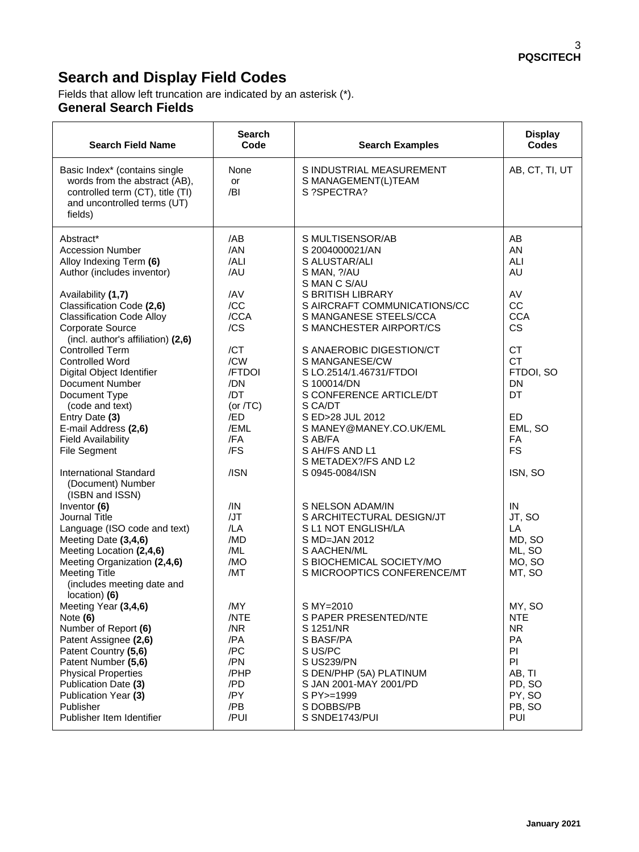# **Search and Display Field Codes**

Fields that allow left truncation are indicated by an asterisk (\*). **General Search Fields**

| <b>Search Field Name</b>                                                                                                                                                                                                                                   | <b>Search</b><br>Code                                                        | <b>Search Examples</b>                                                                                                                                                                          | <b>Display</b><br><b>Codes</b>                                                                     |
|------------------------------------------------------------------------------------------------------------------------------------------------------------------------------------------------------------------------------------------------------------|------------------------------------------------------------------------------|-------------------------------------------------------------------------------------------------------------------------------------------------------------------------------------------------|----------------------------------------------------------------------------------------------------|
| Basic Index* (contains single<br>words from the abstract (AB),<br>controlled term (CT), title (TI)<br>and uncontrolled terms (UT)<br>fields)                                                                                                               | None<br>or<br>/BI                                                            | S INDUSTRIAL MEASUREMENT<br>S MANAGEMENT(L)TEAM<br>S ?SPECTRA?                                                                                                                                  | AB, CT, TI, UT                                                                                     |
| Abstract*<br><b>Accession Number</b><br>Alloy Indexing Term (6)<br>Author (includes inventor)<br>Availability (1,7)<br>Classification Code (2,6)                                                                                                           | /AB<br>/AN<br>/ALI<br>/AU<br>/AV<br>/CC                                      | S MULTISENSOR/AB<br>S 2004000021/AN<br>S ALUSTAR/ALI<br>S MAN, ?/AU<br>S MAN C S/AU<br>S BRITISH LIBRARY<br>S AIRCRAFT COMMUNICATIONS/CC                                                        | AB<br>AN<br>ALI<br><b>AU</b><br>AV<br>CC                                                           |
| <b>Classification Code Alloy</b><br><b>Corporate Source</b><br>(incl. author's affiliation) (2,6)                                                                                                                                                          | /CCA<br>/CS                                                                  | S MANGANESE STEELS/CCA<br>S MANCHESTER AIRPORT/CS                                                                                                                                               | <b>CCA</b><br><b>CS</b>                                                                            |
| <b>Controlled Term</b><br><b>Controlled Word</b><br>Digital Object Identifier<br>Document Number<br>Document Type<br>(code and text)                                                                                                                       | /CT<br>/CW<br>/FTDOI<br>/DN<br>/DT<br>(or $/TC$ )                            | S ANAEROBIC DIGESTION/CT<br>S MANGANESE/CW<br>S LO.2514/1.46731/FTDOI<br>S 100014/DN<br>S CONFERENCE ARTICLE/DT<br>S CA/DT                                                                      | <b>CT</b><br><b>CT</b><br>FTDOI, SO<br>DN<br>DT                                                    |
| Entry Date (3)<br>E-mail Address (2,6)<br><b>Field Availability</b><br>File Segment                                                                                                                                                                        | /ED<br>/EML<br>/FA<br>/FS                                                    | S ED>28 JUL 2012<br>S MANEY@MANEY.CO.UK/EML<br>S AB/FA<br>S AH/FS AND L1<br>S METADEX?/FS AND L2                                                                                                | ED<br>EML, SO<br><b>FA</b><br><b>FS</b>                                                            |
| <b>International Standard</b><br>(Document) Number<br>(ISBN and ISSN)                                                                                                                                                                                      | /ISN                                                                         | S 0945-0084/ISN                                                                                                                                                                                 | ISN, SO                                                                                            |
| Inventor (6)<br>Journal Title<br>Language (ISO code and text)<br>Meeting Date (3,4,6)<br>Meeting Location (2,4,6)<br>Meeting Organization (2,4,6)<br><b>Meeting Title</b><br>(includes meeting date and<br>location) (6)                                   | /IN<br>/JT<br>/LA<br>/MD<br>/ML<br>/MO<br>/MT                                | S NELSON ADAM/IN<br>S ARCHITECTURAL DESIGN/JT<br>S L1 NOT ENGLISH/LA<br>S MD=JAN 2012<br>S AACHEN/ML<br>S BIOCHEMICAL SOCIETY/MO<br>S MICROOPTICS CONFERENCE/MT                                 | IN<br>JT, SO<br>LA<br>MD, SO<br>ML, SO<br>MO, SO<br>MT, SO                                         |
| Meeting Year (3,4,6)<br>Note $(6)$<br>Number of Report (6)<br>Patent Assignee (2,6)<br>Patent Country (5,6)<br>Patent Number (5,6)<br><b>Physical Properties</b><br>Publication Date (3)<br>Publication Year (3)<br>Publisher<br>Publisher Item Identifier | /MY<br>/NTE<br>/NR<br>/PA<br>/PC<br>/PN<br>/PHP<br>/PD<br>/PY<br>/PB<br>/PUI | S MY=2010<br>S PAPER PRESENTED/NTE<br>S 1251/NR<br>S BASF/PA<br>S US/PC<br><b>S US239/PN</b><br>S DEN/PHP (5A) PLATINUM<br>S JAN 2001-MAY 2001/PD<br>S PY>=1999<br>S DOBBS/PB<br>S SNDE1743/PUI | MY, SO<br><b>NTE</b><br><b>NR</b><br>PA<br>PI<br>PI<br>AB, TI<br>PD, SO<br>PY, SO<br>PB, SO<br>PUI |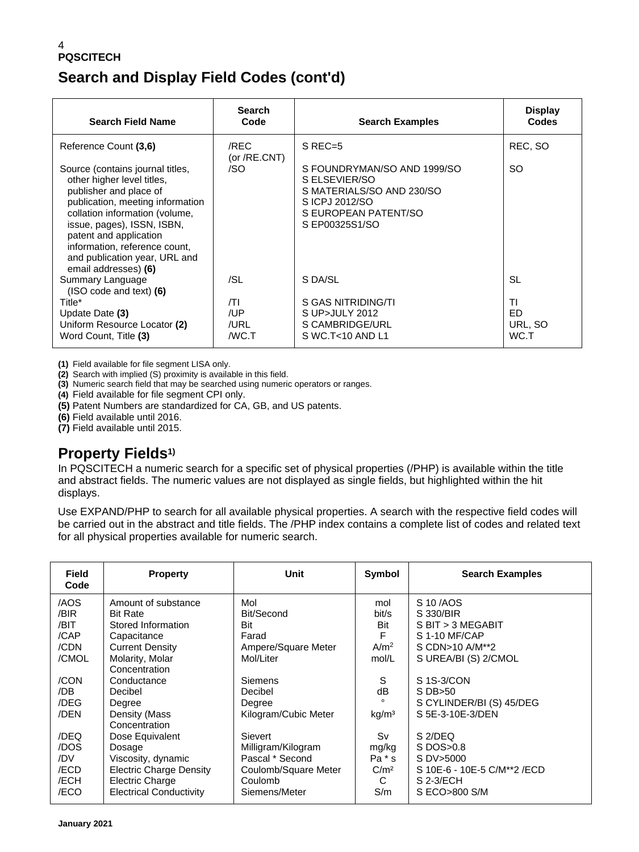# **Search and Display Field Codes (cont'd)**

| <b>Search Field Name</b>                                                                                                                                                                                                                                                                                         | <b>Search</b><br>Code       | <b>Search Examples</b>                                                                                                               | <b>Display</b><br><b>Codes</b> |
|------------------------------------------------------------------------------------------------------------------------------------------------------------------------------------------------------------------------------------------------------------------------------------------------------------------|-----------------------------|--------------------------------------------------------------------------------------------------------------------------------------|--------------------------------|
| Reference Count (3,6)                                                                                                                                                                                                                                                                                            | /REC<br>(or $/RE.CNT$ )     | $S$ REC=5                                                                                                                            | REC, SO                        |
| Source (contains journal titles,<br>other higher level titles,<br>publisher and place of<br>publication, meeting information<br>collation information (volume,<br>issue, pages), ISSN, ISBN,<br>patent and application<br>information, reference count,<br>and publication year, URL and<br>email addresses) (6) | /SO                         | S FOUNDRYMAN/SO AND 1999/SO<br>S ELSEVIER/SO<br>S MATERIALS/SO AND 230/SO<br>SICPJ 2012/SO<br>S EUROPEAN PATENT/SO<br>S EP00325S1/SO | <sub>SO</sub>                  |
| Summary Language<br>$(ISO code and text)$ (6)                                                                                                                                                                                                                                                                    | /SL                         | S DA/SL                                                                                                                              | SL                             |
| Title*<br>Update Date (3)<br>Uniform Resource Locator (2)<br>Word Count, Title (3)                                                                                                                                                                                                                               | /TI<br>/UP<br>/URL<br>/WC.T | S GAS NITRIDING/TI<br>S UP>JULY 2012<br>S CAMBRIDGE/URL<br>$S$ WC.T<10 AND L1                                                        | ΤI<br>ED.<br>URL, SO<br>WC.T   |

**(1)** Field available for file segment LISA only.

**(2)** Search with implied (S) proximity is available in this field.

**(3)** Numeric search field that may be searched using numeric operators or ranges.

**(4)** Field available for file segment CPI only.

**(5)** Patent Numbers are standardized for CA, GB, and US patents.

**(6)** Field available until 2016.

**(7)** Field available until 2015.

### **Property Fields1)**

In PQSCITECH a numeric search for a specific set of physical properties (/PHP) is available within the title and abstract fields. The numeric values are not displayed as single fields, but highlighted within the hit displays.

Use EXPAND/PHP to search for all available physical properties. A search with the respective field codes will be carried out in the abstract and title fields. The /PHP index contains a complete list of codes and related text for all physical properties available for numeric search.

| Field<br>Code | <b>Property</b>                | Unit                 | Symbol            | <b>Search Examples</b>       |
|---------------|--------------------------------|----------------------|-------------------|------------------------------|
| /AOS          | Amount of substance            | Mol                  | mol               | S 10/AOS                     |
| /BIR          | <b>Bit Rate</b>                | Bit/Second           | bit/s             | S 330/BIR                    |
| /BIT          | Stored Information             | Bit                  | Bit               | S BIT > 3 MEGABIT            |
| /CAP          | Capacitance                    | Farad                | F                 | S 1-10 MF/CAP                |
| /CDN          | <b>Current Density</b>         | Ampere/Square Meter  | A/m <sup>2</sup>  | S CDN>10 A/M**2              |
| /CMOL         | Molarity, Molar                | Mol/Liter            | mol/L             | S UREA/BI (S) 2/CMOL         |
|               | Concentration                  |                      |                   |                              |
| /CON          | Conductance                    | Siemens              | S                 | S 1S-3/CON                   |
| /DB           | Decibel                        | Decibel              | dB                | $S$ DB $>50$                 |
| /DEG          | Degree                         | Degree               |                   | S CYLINDER/BI (S) 45/DEG     |
| /DEN          | Density (Mass                  | Kilogram/Cubic Meter | kg/m <sup>3</sup> | S 5E-3-10E-3/DEN             |
|               | Concentration                  |                      |                   |                              |
| /DEQ          | Dose Equivalent                | Sievert              | Sv                | S 2/DEQ                      |
| /DOS          | Dosage                         | Milligram/Kilogram   | mg/kg             | $S$ DOS $>0.8$               |
| /DV           | Viscosity, dynamic             | Pascal * Second      | Pa * s            | S DV>5000                    |
| /ECD          | <b>Electric Charge Density</b> | Coulomb/Square Meter | C/m <sup>2</sup>  | S 10E-6 - 10E-5 C/M**2 / ECD |
| /ECH          | Electric Charge                | Coulomb              | C                 | S 2-3/ECH                    |
| /ECO          | <b>Electrical Conductivity</b> | Siemens/Meter        | S/m               | S ECO>800 S/M                |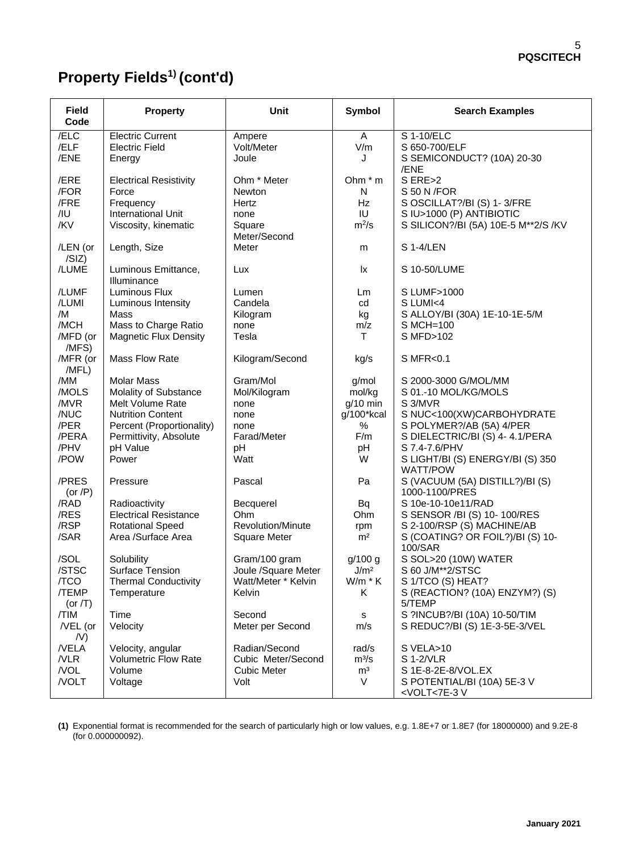# **Property Fields1) (cont'd)**

| <b>Field</b><br>Code   | <b>Property</b>                            | <b>Unit</b>          | Symbol               | <b>Search Examples</b>                                           |
|------------------------|--------------------------------------------|----------------------|----------------------|------------------------------------------------------------------|
| /ELC                   | <b>Electric Current</b>                    | Ampere               | A                    | S 1-10/ELC                                                       |
| /ELF<br>/ENE           | <b>Electric Field</b>                      | Volt/Meter<br>Joule  | V/m<br>J             | S 650-700/ELF<br>S SEMICONDUCT? (10A) 20-30                      |
|                        | Energy                                     |                      |                      | /ENE                                                             |
| /ERE                   | <b>Electrical Resistivity</b>              | Ohm * Meter          | Ohm * m              | S ERE>2                                                          |
| /FOR                   | Force                                      | Newton               | N                    | S 50 N / FOR                                                     |
| /FRE                   | Frequency                                  | Hertz                | Hz<br>IU             | S OSCILLAT?/BI (S) 1-3/FRE                                       |
| /IU<br>/KV             | International Unit<br>Viscosity, kinematic | none<br>Square       | $m^2/s$              | S IU>1000 (P) ANTIBIOTIC<br>S SILICON?/BI (5A) 10E-5 M**2/S /KV  |
|                        |                                            | Meter/Second         |                      |                                                                  |
| /LEN (or               | Length, Size                               | Meter                | m                    | <b>S 1-4/LEN</b>                                                 |
| /SIZ)                  |                                            |                      |                      |                                                                  |
| /LUME                  | Luminous Emittance,<br>Illuminance         | Lux                  | lx                   | S 10-50/LUME                                                     |
| /LUMF                  | Luminous Flux                              | Lumen                | Lm                   | S LUMF>1000                                                      |
| /LUMI                  | Luminous Intensity                         | Candela              | cd                   | S LUMI<4                                                         |
| /M                     | Mass                                       | Kilogram             | kg                   | S ALLOY/BI (30A) 1E-10-1E-5/M                                    |
| /MCH                   | Mass to Charge Ratio                       | none                 | m/z                  | S MCH=100                                                        |
| /MFD (or<br>/MFS)      | <b>Magnetic Flux Density</b>               | Tesla                | т                    | S MFD>102                                                        |
| /MFR (or               | Mass Flow Rate                             | Kilogram/Second      | kg/s                 | S MFR<0.1                                                        |
| /MFL)                  |                                            |                      |                      |                                                                  |
| /MM                    | <b>Molar Mass</b>                          | Gram/Mol             | g/mol                | S 2000-3000 G/MOL/MM                                             |
| /MOLS<br>/MVR          | Molality of Substance<br>Melt Volume Rate  | Mol/Kilogram<br>none | mol/kg<br>$g/10$ min | S 01.-10 MOL/KG/MOLS<br>S 3/MVR                                  |
| /NUC                   | <b>Nutrition Content</b>                   | none                 | g/100*kcal           | S NUC<100(XW)CARBOHYDRATE                                        |
| /PER                   | Percent (Proportionality)                  | none                 | %                    | S POLYMER?/AB (5A) 4/PER                                         |
| /PERA                  | Permittivity, Absolute                     | Farad/Meter          | F/m                  | S DIELECTRIC/BI (S) 4-4.1/PERA                                   |
| /PHV                   | pH Value                                   | pH                   | pH                   | S 7.4-7.6/PHV                                                    |
| /POW                   | Power                                      | Watt                 | W                    | S LIGHT/BI (S) ENERGY/BI (S) 350<br><b>WATT/POW</b>              |
| /PRES                  | Pressure                                   | Pascal               | Pa                   | S (VACUUM (5A) DISTILL?)/BI (S)                                  |
| (or $/P$ )<br>/RAD     | Radioactivity                              | Becquerel            | Bq                   | 1000-1100/PRES<br>S 10e-10-10e11/RAD                             |
| /RES                   | <b>Electrical Resistance</b>               | Ohm                  | Ohm                  | S SENSOR /BI (S) 10-100/RES                                      |
| /RSP                   | <b>Rotational Speed</b>                    | Revolution/Minute    | rpm                  | S 2-100/RSP (S) MACHINE/AB                                       |
| /SAR                   | Area /Surface Area                         | <b>Square Meter</b>  | m <sup>2</sup>       | S (COATING? OR FOIL?)/BI (S) 10-<br>100/SAR                      |
| /SOL                   | Solubility                                 | Gram/100 gram        | g/100 g              | S SOL>20 (10W) WATER                                             |
| /STSC                  | Surface Tension                            | Joule /Square Meter  | J/m <sup>2</sup>     | S 60 J/M**2/STSC                                                 |
| /TCO                   | <b>Thermal Conductivity</b>                | Watt/Meter * Kelvin  | W/m * K              | S 1/TCO (S) HEAT?                                                |
| /TEMP<br>(or $/T$ )    | Temperature                                | Kelvin               | K.                   | S (REACTION? (10A) ENZYM?) (S)<br>5/TEMP                         |
| /TIM                   | Time                                       | Second               | s                    | S ?INCUB?/BI (10A) 10-50/TIM                                     |
| /VEL (or               | Velocity                                   | Meter per Second     | m/s                  | S REDUC?/BI (S) 1E-3-5E-3/VEL                                    |
| $\mathcal{N}$<br>/VELA | Velocity, angular                          | Radian/Second        | rad/s                | S VELA>10                                                        |
| /VLR                   | <b>Volumetric Flow Rate</b>                | Cubic Meter/Second   | $m^3/s$              | S 1-2/VLR                                                        |
| /VOL                   | Volume                                     | <b>Cubic Meter</b>   | m <sup>3</sup>       | S 1E-8-2E-8/VOL.EX                                               |
| /VOLT                  | Voltage                                    | Volt                 | V                    | S POTENTIAL/BI (10A) 5E-3 V<br><volt<7e-3v< td=""></volt<7e-3v<> |

**(1)** Exponential format is recommended for the search of particularly high or low values, e.g. 1.8E+7 or 1.8E7 (for 18000000) and 9.2E-8 (for 0.000000092).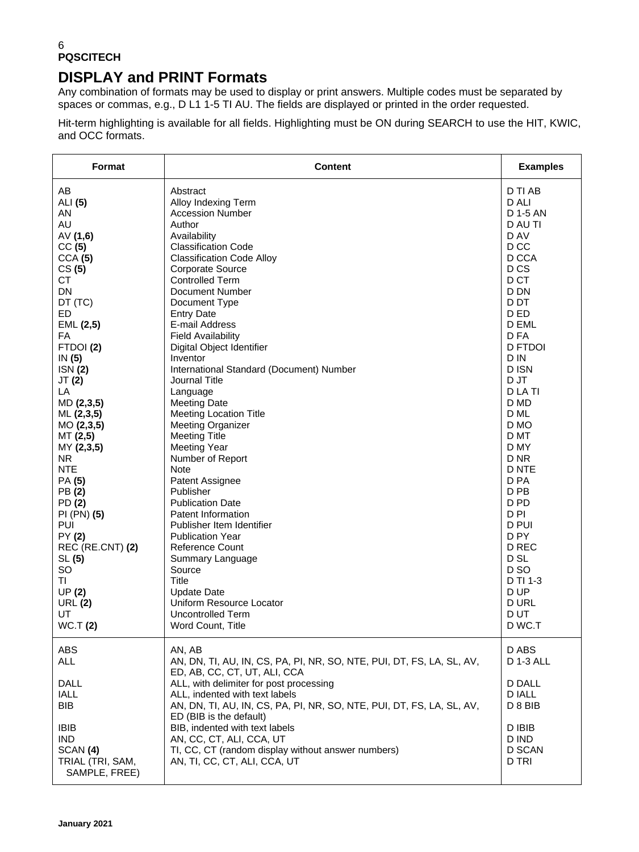### **DISPLAY and PRINT Formats**

Any combination of formats may be used to display or print answers. Multiple codes must be separated by spaces or commas, e.g., D L1 1-5 TI AU. The fields are displayed or printed in the order requested.

Hit-term highlighting is available for all fields. Highlighting must be ON during SEARCH to use the HIT, KWIC, and OCC formats.

| Format                                                                                                                                                                                                                                                                                                                                                                                                                       | <b>Content</b>                                                                                                                                                                                                                                                                                                                                                                                                                                                                                                                                                                                                                                                                                                                                                                                                                                                                                             | <b>Examples</b>                                                                                                                                                                                                                                                                                                                                                                                                                                      |
|------------------------------------------------------------------------------------------------------------------------------------------------------------------------------------------------------------------------------------------------------------------------------------------------------------------------------------------------------------------------------------------------------------------------------|------------------------------------------------------------------------------------------------------------------------------------------------------------------------------------------------------------------------------------------------------------------------------------------------------------------------------------------------------------------------------------------------------------------------------------------------------------------------------------------------------------------------------------------------------------------------------------------------------------------------------------------------------------------------------------------------------------------------------------------------------------------------------------------------------------------------------------------------------------------------------------------------------------|------------------------------------------------------------------------------------------------------------------------------------------------------------------------------------------------------------------------------------------------------------------------------------------------------------------------------------------------------------------------------------------------------------------------------------------------------|
| AB<br>ALI (5)<br>AN<br>AU<br>AV(1,6)<br>CC(5)<br>CCA (5)<br>CS(5)<br><b>CT</b><br>DN<br>DT (TC)<br><b>ED</b><br>EML (2,5)<br>FA<br>FTDOI(2)<br>IN $(5)$<br>ISN(2)<br>JT (2)<br>LA<br>MD (2,3,5)<br>ML (2,3,5)<br>MO(2,3,5)<br>MT (2,5)<br>MY (2,3,5)<br>NR.<br><b>NTE</b><br>PA (5)<br>PB (2)<br>PD (2)<br>PI (PN) (5)<br>PUI<br>PY (2)<br>REC (RE.CNT) (2)<br>SL(5)<br>SO<br>TI<br>UP(2)<br><b>URL (2)</b><br>UT<br>WC.T(2) | Abstract<br>Alloy Indexing Term<br><b>Accession Number</b><br>Author<br>Availability<br><b>Classification Code</b><br><b>Classification Code Alloy</b><br>Corporate Source<br><b>Controlled Term</b><br>Document Number<br>Document Type<br><b>Entry Date</b><br>E-mail Address<br><b>Field Availability</b><br>Digital Object Identifier<br>Inventor<br>International Standard (Document) Number<br>Journal Title<br>Language<br><b>Meeting Date</b><br><b>Meeting Location Title</b><br><b>Meeting Organizer</b><br><b>Meeting Title</b><br><b>Meeting Year</b><br>Number of Report<br>Note<br>Patent Assignee<br>Publisher<br><b>Publication Date</b><br>Patent Information<br>Publisher Item Identifier<br><b>Publication Year</b><br><b>Reference Count</b><br>Summary Language<br>Source<br><b>Title</b><br><b>Update Date</b><br>Uniform Resource Locator<br>Uncontrolled Term<br>Word Count, Title | D TI AB<br>D ALI<br>D 1-5 AN<br>D AU TI<br>D AV<br>D CC<br>D CCA<br>D <sub>CS</sub><br>D CT<br>D DN<br>D DT<br>D ED<br>D EML<br>D FA<br><b>D FTDOI</b><br>D IN<br>D ISN<br>D JT<br>D LA TI<br>D MD<br>D ML<br>D MO<br>D MT<br>D MY<br>D <sub>NR</sub><br>D NTE<br>D PA<br>D <sub>PB</sub><br>D <sub>PD</sub><br>D <sub>PI</sub><br>D PUI<br>D <sub>PY</sub><br>D REC<br>D <sub>SL</sub><br>D SO<br>D TI 1-3<br>D UP<br><b>DURL</b><br>D UT<br>D WC.T |
| ABS<br><b>ALL</b><br>DALL<br><b>IALL</b><br><b>BIB</b><br><b>IBIB</b><br><b>IND</b><br>SCAN (4)<br>TRIAL (TRI, SAM,<br>SAMPLE, FREE)                                                                                                                                                                                                                                                                                         | AN, AB<br>AN, DN, TI, AU, IN, CS, PA, PI, NR, SO, NTE, PUI, DT, FS, LA, SL, AV,<br>ED, AB, CC, CT, UT, ALI, CCA<br>ALL, with delimiter for post processing<br>ALL, indented with text labels<br>AN, DN, TI, AU, IN, CS, PA, PI, NR, SO, NTE, PUI, DT, FS, LA, SL, AV,<br>ED (BIB is the default)<br>BIB, indented with text labels<br>AN, CC, CT, ALI, CCA, UT<br>TI, CC, CT (random display without answer numbers)<br>AN, TI, CC, CT, ALI, CCA, UT                                                                                                                                                                                                                                                                                                                                                                                                                                                       | D ABS<br>D 1-3 ALL<br><b>D DALL</b><br>D IALL<br>D 8 BIB<br>D IBIB<br>D IND<br>D SCAN<br>D TRI                                                                                                                                                                                                                                                                                                                                                       |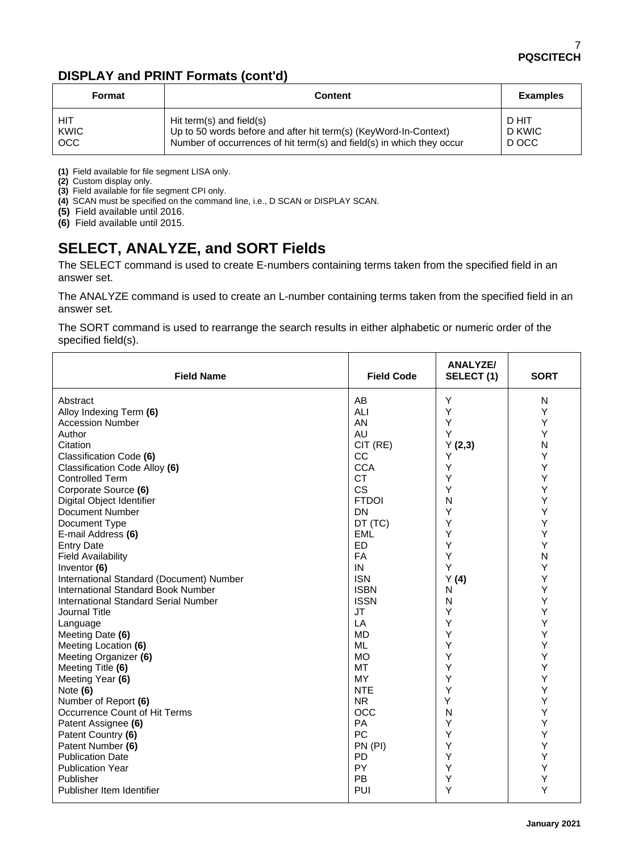### **DISPLAY and PRINT Formats (cont'd)**

| Format     | <b>Content</b>                                                        | <b>Examples</b> |
|------------|-----------------------------------------------------------------------|-----------------|
| HIT        | Hit term(s) and field(s)                                              | D HIT           |
| KWIC       | Up to 50 words before and after hit term(s) (KeyWord-In-Context)      | D KWIC          |
| <b>OCC</b> | Number of occurrences of hit term(s) and field(s) in which they occur | D OCC           |

**(1)** Field available for file segment LISA only.

**(2)** Custom display only.

**(3)** Field available for file segment CPI only.

**(4)** SCAN must be specified on the command line, i.e., D SCAN or DISPLAY SCAN.

**(5)** Field available until 2016.

**(6)** Field available until 2015.

# **SELECT, ANALYZE, and SORT Fields**

The SELECT command is used to create E-numbers containing terms taken from the specified field in an answer set.

The ANALYZE command is used to create an L-number containing terms taken from the specified field in an answer set.

The SORT command is used to rearrange the search results in either alphabetic or numeric order of the specified field(s).

| <b>Field Name</b>                         | <b>Field Code</b> | <b>ANALYZE/</b><br>SELECT(1) | <b>SORT</b> |
|-------------------------------------------|-------------------|------------------------------|-------------|
| Abstract                                  | AB                | Y                            | N           |
| Alloy Indexing Term (6)                   | ALI               | Y                            | Υ           |
| <b>Accession Number</b>                   | AN                | Υ                            | Υ           |
| Author                                    | AU                | Υ                            | Υ           |
| Citation                                  | CIT (RE)          | Y(2,3)                       | N           |
| Classification Code (6)                   | CC                | Υ                            | Υ           |
| Classification Code Alloy (6)             | <b>CCA</b>        | Υ                            | Υ           |
| <b>Controlled Term</b>                    | <b>CT</b>         | Y                            | Υ           |
| Corporate Source (6)                      | <b>CS</b>         | Υ                            | Υ           |
| Digital Object Identifier                 | <b>FTDOI</b>      | N                            | Υ           |
| <b>Document Number</b>                    | DN                | Y                            | Y           |
| Document Type                             | DT (TC)           | Y                            | Y           |
| E-mail Address (6)                        | <b>EML</b>        | Υ                            | Υ           |
| <b>Entry Date</b>                         | <b>ED</b>         | Y                            | Υ           |
| <b>Field Availability</b>                 | FA                | Y                            | N           |
| Inventor (6)                              | IN                | Y                            | Υ           |
| International Standard (Document) Number  | <b>ISN</b>        | Y(4)                         | Υ           |
| <b>International Standard Book Number</b> | <b>ISBN</b>       | N                            | Υ           |
| International Standard Serial Number      | <b>ISSN</b>       | N                            | Υ           |
| Journal Title                             | <b>JT</b>         | Υ                            | Y           |
| Language                                  | LA                | Υ                            | Υ           |
| Meeting Date (6)                          | <b>MD</b>         | Υ                            | Υ           |
| Meeting Location (6)                      | <b>ML</b>         | Y                            | Υ           |
| Meeting Organizer (6)                     | <b>MO</b>         | Υ                            | Υ           |
| Meeting Title (6)                         | <b>MT</b>         | Υ                            | Υ           |
| Meeting Year (6)                          | MY                | Y                            | Y           |
| Note $(6)$                                | <b>NTE</b>        | Υ                            | Y           |
| Number of Report (6)                      | <b>NR</b>         | Y                            | Υ           |
| Occurrence Count of Hit Terms             | <b>OCC</b>        | N                            | Υ           |
| Patent Assignee (6)                       | <b>PA</b>         | Y                            | Υ           |
| Patent Country (6)                        | PC                | Υ                            | Υ           |
| Patent Number (6)                         | PN (PI)           | Υ                            | Υ           |
| <b>Publication Date</b>                   | <b>PD</b>         | Y                            | Υ           |
| <b>Publication Year</b>                   | PY                | Υ                            | Υ           |
| Publisher                                 | PB                | Υ                            | Υ           |
| Publisher Item Identifier                 | PUI               | Υ                            | Υ           |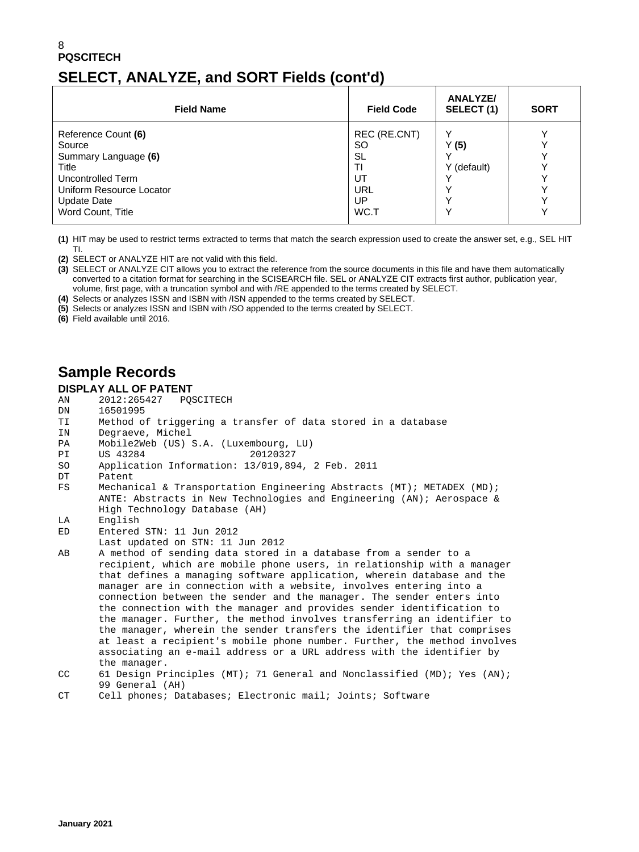# **SELECT, ANALYZE, and SORT Fields (cont'd)**

| <b>Field Name</b>        | <b>Field Code</b> | <b>ANALYZE/</b><br>SELECT(1) | <b>SORT</b> |
|--------------------------|-------------------|------------------------------|-------------|
| Reference Count (6)      | REC (RE.CNT)      |                              |             |
| Source                   | <b>SO</b>         | (5)                          |             |
| Summary Language (6)     | SL                |                              |             |
| Title                    | ΤI                | Y (default)                  |             |
| Uncontrolled Term        | UT                |                              |             |
| Uniform Resource Locator | URL               |                              |             |
| Update Date              | UP                |                              |             |
| Word Count, Title        | WC.T              |                              |             |

**(1)** HIT may be used to restrict terms extracted to terms that match the search expression used to create the answer set, e.g., SEL HIT TI.

- **(2)** SELECT or ANALYZE HIT are not valid with this field.
- **(3)** SELECT or ANALYZE CIT allows you to extract the reference from the source documents in this file and have them automatically converted to a citation format for searching in the SCISEARCH file. SEL or ANALYZE CIT extracts first author, publication year, volume, first page, with a truncation symbol and with /RE appended to the terms created by SELECT.
- **(4)** Selects or analyzes ISSN and ISBN with /ISN appended to the terms created by SELECT.
- **(5)** Selects or analyzes ISSN and ISBN with /SO appended to the terms created by SELECT.
- **(6)** Field available until 2016.

# **Sample Records**

**DISPLAY ALL OF PATENT**<br>AN 2012:265427 POSCITECH

- AN 2012:265427<br>DN 16501995 16501995
- 
- TI Method of triggering a transfer of data stored in a database
- IN Degraeve, Michel<br>PA Mobile2Web (US)
- PA Mobile2Web (US) S.A. (Luxembourg, LU)<br>PI US 43284 20120327
- PI US 43284<br>SO Applicat
- SO Application Information: 13/019,894, 2 Feb. 2011
- DT Patent<br>FS Mechan
- Mechanical & Transportation Engineering Abstracts (MT); METADEX (MD); ANTE: Abstracts in New Technologies and Engineering (AN); Aerospace & High Technology Database (AH)<br>LA English
- English
- ED Entered STN: 11 Jun 2012
- Last updated on STN: 11 Jun 2012
- AB A method of sending data stored in a database from a sender to a recipient, which are mobile phone users, in relationship with a manager that defines a managing software application, wherein database and the manager are in connection with a website, involves entering into a connection between the sender and the manager. The sender enters into the connection with the manager and provides sender identification to the manager. Further, the method involves transferring an identifier to the manager, wherein the sender transfers the identifier that comprises at least a recipient's mobile phone number. Further, the method involves associating an e-mail address or a URL address with the identifier by the manager.<br>CC 61 Design Pr
- 61 Design Principles (MT); 71 General and Nonclassified (MD); Yes (AN); 99 General (AH)<br>CT Cell phones: Da

Cell phones; Databases; Electronic mail; Joints; Software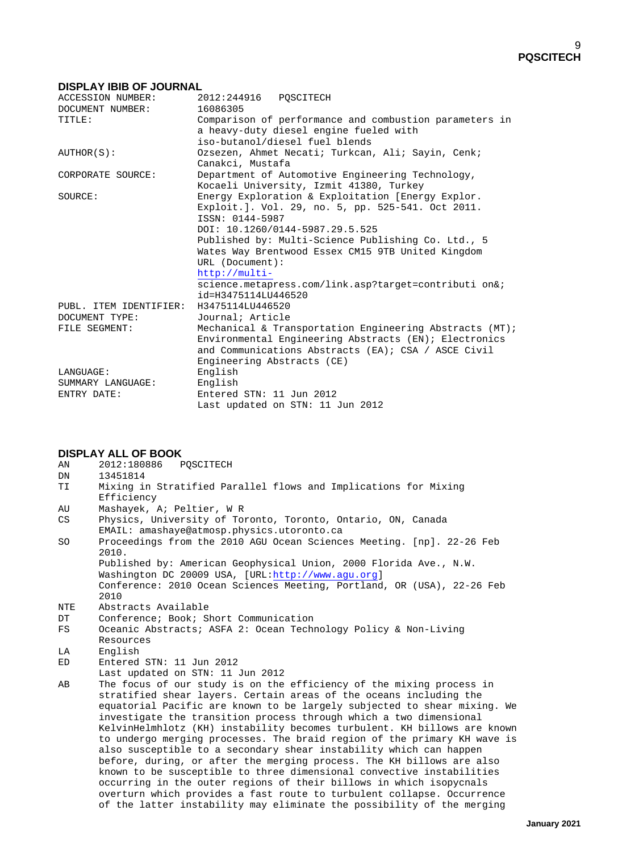#### **DISPLAY IBIB OF JOURNAL**

| ACCESSION NUMBER:      | 2012:244916 POSCITECH                                   |
|------------------------|---------------------------------------------------------|
| DOCUMENT NUMBER:       | 16086305                                                |
| TITLE:                 | Comparison of performance and combustion parameters in  |
|                        | a heavy-duty diesel engine fueled with                  |
|                        | iso-butanol/diesel fuel blends                          |
| AUTHOR(S):             | Ozsezen, Ahmet Necati; Turkcan, Ali; Sayin, Cenk;       |
|                        | Canakci, Mustafa                                        |
| CORPORATE SOURCE:      | Department of Automotive Engineering Technology,        |
|                        | Kocaeli University, Izmit 41380, Turkey                 |
| SOURCE:                | Energy Exploration & Exploitation [Energy Explor.       |
|                        | Exploit.]. Vol. 29, no. 5, pp. 525-541. Oct 2011.       |
|                        | ISSN: 0144-5987                                         |
|                        | DOI: 10.1260/0144-5987.29.5.525                         |
|                        | Published by: Multi-Science Publishing Co. Ltd., 5      |
|                        | Wates Way Brentwood Essex CM15 9TB United Kingdom       |
|                        | URL (Document):                                         |
|                        | $http://multi-$                                         |
|                        | science.metapress.com/link.asp?target=contributi on&;   |
|                        | id=H3475114LU446520                                     |
| PUBL. ITEM IDENTIFIER: | H3475114LU446520                                        |
| DOCUMENT TYPE:         | Journal; Article                                        |
| FILE SEGMENT:          | Mechanical & Transportation Engineering Abstracts (MT); |
|                        | Environmental Engineering Abstracts (EN); Electronics   |
|                        | and Communications Abstracts (EA); CSA / ASCE Civil     |
|                        | Engineering Abstracts (CE)                              |
| LANGUAGE:              | English                                                 |
| SUMMARY LANGUAGE:      | English                                                 |
| ENTRY DATE:            | Entered STN: 11 Jun 2012                                |
|                        | Last updated on STN: 11 Jun 2012                        |

- **DISPLAY ALL OF BOOK** AN 2012:180886
- DN 13451814<br>TT Mixing i
- Mixing in Stratified Parallel flows and Implications for Mixing Efficiency<br>AII Mashavek
- AU Mashayek, A; Peltier, W R<br>CS Physics, University of To:
- Physics, University of Toronto, Toronto, Ontario, ON, Canada EMAIL: amashaye@atmosp.physics.utoronto.ca<br>SO Proceedings from the 2010 AGU Ocean Scienc Proceedings from the 2010 AGU Ocean Sciences Meeting. [np]. 22-26 Feb
- 2010. Published by: American Geophysical Union, 2000 Florida Ave., N.W. Washington DC 20009 USA, [URL[:http://www.agu.org\]](http://www.agu.org/) Conference: 2010 Ocean Sciences Meeting, Portland, OR (USA), 22-26 Feb
- 2010<br>:NTE Abst
- NTE Abstracts Available<br>DT Conference; Book; SI
- DT Conference; Book; Short Communication<br>FS Oceanic Abstracts; ASFA 2: Ocean Techn Oceanic Abstracts; ASFA 2: Ocean Technology Policy & Non-Living Resources<br>
LA English
- LA English<br>ED Entered
- Entered STN: 11 Jun 2012
- Last updated on STN: 11 Jun 2012<br>AB The focus of our study is on the
- The focus of our study is on the efficiency of the mixing process in stratified shear layers. Certain areas of the oceans including the equatorial Pacific are known to be largely subjected to shear mixing. We investigate the transition process through which a two dimensional KelvinHelmhlotz (KH) instability becomes turbulent. KH billows are known to undergo merging processes. The braid region of the primary KH wave is also susceptible to a secondary shear instability which can happen before, during, or after the merging process. The KH billows are also known to be susceptible to three dimensional convective instabilities occurring in the outer regions of their billows in which isopycnals overturn which provides a fast route to turbulent collapse. Occurrence of the latter instability may eliminate the possibility of the merging